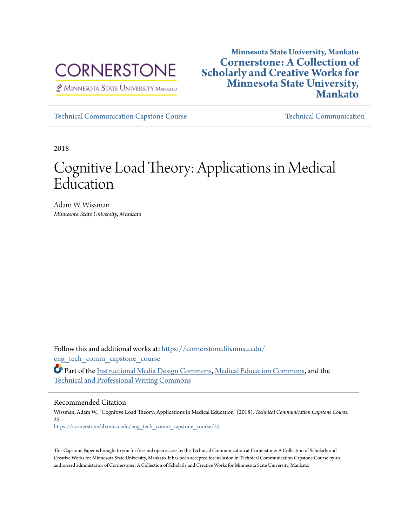

MINNESOTA STATE UNIVERSITY MANKATO

## **Minnesota State University, Mankato [Cornerstone: A Collection of](https://cornerstone.lib.mnsu.edu?utm_source=cornerstone.lib.mnsu.edu%2Feng_tech_comm_capstone_course%2F25&utm_medium=PDF&utm_campaign=PDFCoverPages) [Scholarly and Creative Works for](https://cornerstone.lib.mnsu.edu?utm_source=cornerstone.lib.mnsu.edu%2Feng_tech_comm_capstone_course%2F25&utm_medium=PDF&utm_campaign=PDFCoverPages) [Minnesota State University,](https://cornerstone.lib.mnsu.edu?utm_source=cornerstone.lib.mnsu.edu%2Feng_tech_comm_capstone_course%2F25&utm_medium=PDF&utm_campaign=PDFCoverPages) [Mankato](https://cornerstone.lib.mnsu.edu?utm_source=cornerstone.lib.mnsu.edu%2Feng_tech_comm_capstone_course%2F25&utm_medium=PDF&utm_campaign=PDFCoverPages)**

[Technical Communication Capstone Course](https://cornerstone.lib.mnsu.edu/eng_tech_comm_capstone_course?utm_source=cornerstone.lib.mnsu.edu%2Feng_tech_comm_capstone_course%2F25&utm_medium=PDF&utm_campaign=PDFCoverPages) [Technical Communication](https://cornerstone.lib.mnsu.edu/eng_tech_comm?utm_source=cornerstone.lib.mnsu.edu%2Feng_tech_comm_capstone_course%2F25&utm_medium=PDF&utm_campaign=PDFCoverPages)

2018

# Cognitive Load Theory: Applications in Medical Education

Adam W. Wissman *Minnesota State University, Mankato*

Follow this and additional works at: [https://cornerstone.lib.mnsu.edu/](https://cornerstone.lib.mnsu.edu/eng_tech_comm_capstone_course?utm_source=cornerstone.lib.mnsu.edu%2Feng_tech_comm_capstone_course%2F25&utm_medium=PDF&utm_campaign=PDFCoverPages) eng tech comm capstone course

Part of the [Instructional Media Design Commons,](http://network.bepress.com/hgg/discipline/795?utm_source=cornerstone.lib.mnsu.edu%2Feng_tech_comm_capstone_course%2F25&utm_medium=PDF&utm_campaign=PDFCoverPages) [Medical Education Commons](http://network.bepress.com/hgg/discipline/1125?utm_source=cornerstone.lib.mnsu.edu%2Feng_tech_comm_capstone_course%2F25&utm_medium=PDF&utm_campaign=PDFCoverPages), and the [Technical and Professional Writing Commons](http://network.bepress.com/hgg/discipline/1347?utm_source=cornerstone.lib.mnsu.edu%2Feng_tech_comm_capstone_course%2F25&utm_medium=PDF&utm_campaign=PDFCoverPages)

#### Recommended Citation

Wissman, Adam W., "Cognitive Load Theory: Applications in Medical Education" (2018). *Technical Communication Capstone Course*. 25.

[https://cornerstone.lib.mnsu.edu/eng\\_tech\\_comm\\_capstone\\_course/25](https://cornerstone.lib.mnsu.edu/eng_tech_comm_capstone_course/25?utm_source=cornerstone.lib.mnsu.edu%2Feng_tech_comm_capstone_course%2F25&utm_medium=PDF&utm_campaign=PDFCoverPages)

This Capstone Paper is brought to you for free and open access by the Technical Communication at Cornerstone: A Collection of Scholarly and Creative Works for Minnesota State University, Mankato. It has been accepted for inclusion in Technical Communication Capstone Course by an authorized administrator of Cornerstone: A Collection of Scholarly and Creative Works for Minnesota State University, Mankato.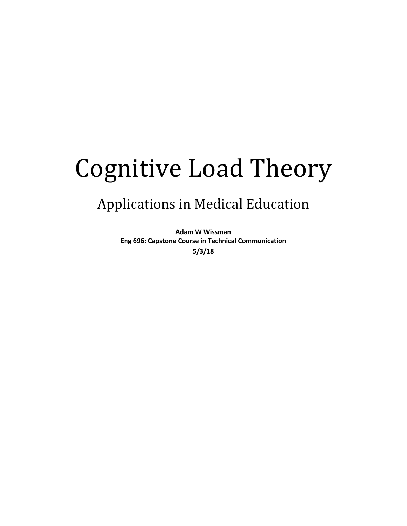# Cognitive Load Theory

# Applications in Medical Education

**Adam W Wissman Eng 696: Capstone Course in Technical Communication 5/3/18**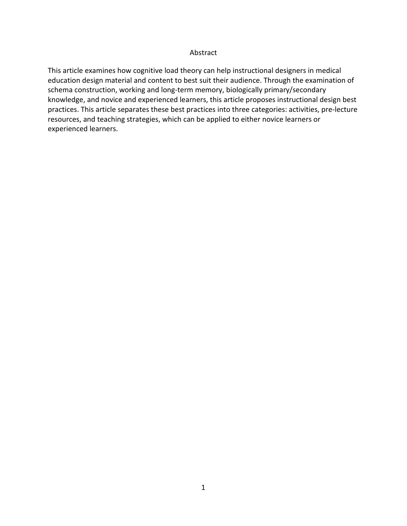#### Abstract

This article examines how cognitive load theory can help instructional designers in medical education design material and content to best suit their audience. Through the examination of schema construction, working and long-term memory, biologically primary/secondary knowledge, and novice and experienced learners, this article proposes instructional design best practices. This article separates these best practices into three categories: activities, pre-lecture resources, and teaching strategies, which can be applied to either novice learners or experienced learners.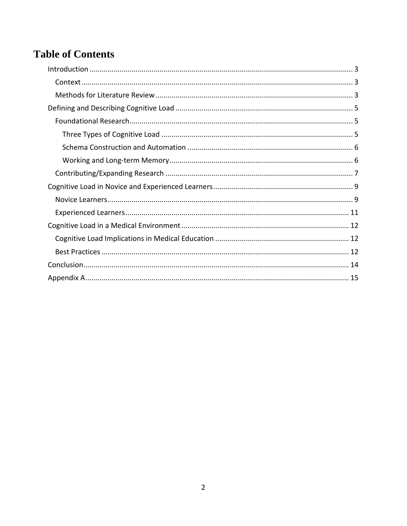# **Table of Contents**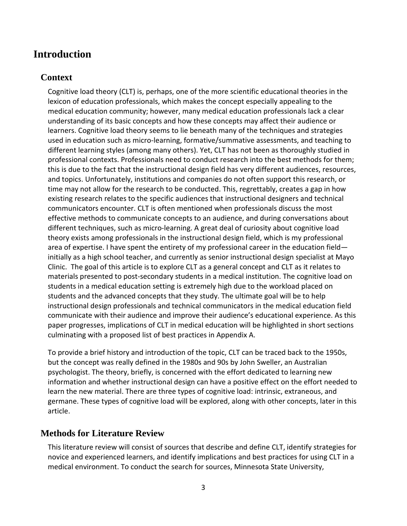# <span id="page-4-0"></span>**Introduction**

### <span id="page-4-1"></span>**Context**

Cognitive load theory (CLT) is, perhaps, one of the more scientific educational theories in the lexicon of education professionals, which makes the concept especially appealing to the medical education community; however, many medical education professionals lack a clear understanding of its basic concepts and how these concepts may affect their audience or learners. Cognitive load theory seems to lie beneath many of the techniques and strategies used in education such as micro-learning, formative/summative assessments, and teaching to different learning styles (among many others). Yet, CLT has not been as thoroughly studied in professional contexts. Professionals need to conduct research into the best methods for them; this is due to the fact that the instructional design field has very different audiences, resources, and topics. Unfortunately, institutions and companies do not often support this research, or time may not allow for the research to be conducted. This, regrettably, creates a gap in how existing research relates to the specific audiences that instructional designers and technical communicators encounter. CLT is often mentioned when professionals discuss the most effective methods to communicate concepts to an audience, and during conversations about different techniques, such as micro-learning. A great deal of curiosity about cognitive load theory exists among professionals in the instructional design field, which is my professional area of expertise. I have spent the entirety of my professional career in the education field initially as a high school teacher, and currently as senior instructional design specialist at Mayo Clinic. The goal of this article is to explore CLT as a general concept and CLT as it relates to materials presented to post-secondary students in a medical institution. The cognitive load on students in a medical education setting is extremely high due to the workload placed on students and the advanced concepts that they study. The ultimate goal will be to help instructional design professionals and technical communicators in the medical education field communicate with their audience and improve their audience's educational experience. As this paper progresses, implications of CLT in medical education will be highlighted in short sections culminating with a proposed list of best practices in Appendix A.

To provide a brief history and introduction of the topic, CLT can be traced back to the 1950s, but the concept was really defined in the 1980s and 90s by John Sweller, an Australian psychologist. The theory, briefly, is concerned with the effort dedicated to learning new information and whether instructional design can have a positive effect on the effort needed to learn the new material. There are three types of cognitive load: intrinsic, extraneous, and germane. These types of cognitive load will be explored, along with other concepts, later in this article.

#### <span id="page-4-2"></span>**Methods for Literature Review**

This literature review will consist of sources that describe and define CLT, identify strategies for novice and experienced learners, and identify implications and best practices for using CLT in a medical environment. To conduct the search for sources, Minnesota State University,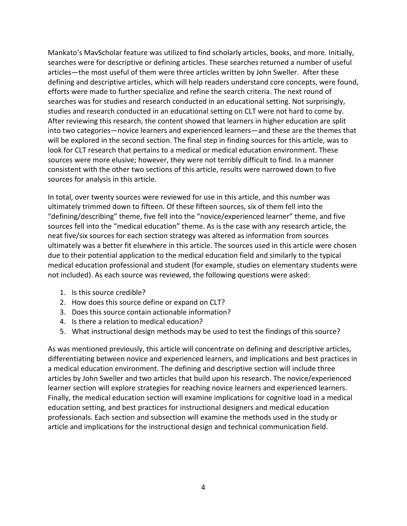Mankato's MavScholar feature was utilized to find scholarly articles, books, and more. Initially, searches were for descriptive or defining articles. These searches returned a number of useful articles—the most useful of them were three articles written by John Sweller. After these defining and descriptive articles, which will help readers understand core concepts, were found, efforts were made to further specialize and refine the search criteria. The next round of searches was for studies and research conducted in an educational setting. Not surprisingly, studies and research conducted in an educational setting on CLT were not hard to come by. After reviewing this research, the content showed that learners in higher education are split into two categories—novice learners and experienced learners—and these are the themes that will be explored in the second section. The final step in finding sources for this article, was to look for CLT research that pertains to a medical or medical education environment. These sources were more elusive; however, they were not terribly difficult to find. In a manner consistent with the other two sections of this article, results were narrowed down to five sources for analysis in this article.

In total, over twenty sources were reviewed for use in this article, and this number was ultimately trimmed down to fifteen. Of these fifteen sources, six of them fell into the "defining/describing" theme, five fell into the "novice/experienced learner" theme, and five sources fell into the "medical education" theme. As is the case with any research article, the neat five/six sources for each section strategy was altered as information from sources ultimately was a better fit elsewhere in this article. The sources used in this article were chosen due to their potential application to the medical education field and similarly to the typical medical education professional and student (for example, studies on elementary students were not included). As each source was reviewed, the following questions were asked:

- 1. Is this source credible?
- 2. How does this source define or expand on CLT?
- 3. Does this source contain actionable information?
- 4. Is there a relation to medical education?
- 5. What instructional design methods may be used to test the findings of this source?

As was mentioned previously, this article will concentrate on defining and descriptive articles, differentiating between novice and experienced learners, and implications and best practices in a medical education environment. The defining and descriptive section will include three articles by John Sweller and two articles that build upon his research. The novice/experienced learner section will explore strategies for reaching novice learners and experienced learners. Finally, the medical education section will examine implications for cognitive load in a medical education setting, and best practices for instructional designers and medical education professionals. Each section and subsection will examine the methods used in the study or article and implications for the instructional design and technical communication field.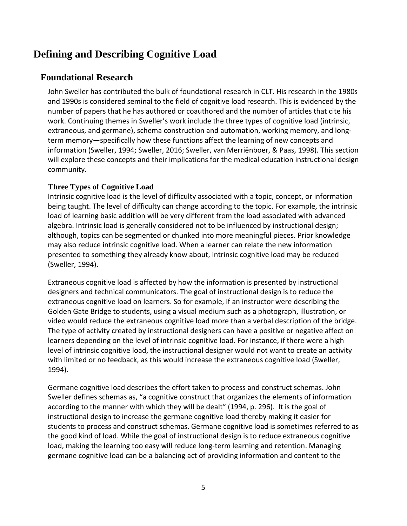# <span id="page-6-0"></span>**Defining and Describing Cognitive Load**

## <span id="page-6-1"></span>**Foundational Research**

John Sweller has contributed the bulk of foundational research in CLT. His research in the 1980s and 1990s is considered seminal to the field of cognitive load research. This is evidenced by the number of papers that he has authored or coauthored and the number of articles that cite his work. Continuing themes in Sweller's work include the three types of cognitive load (intrinsic, extraneous, and germane), schema construction and automation, working memory, and longterm memory—specifically how these functions affect the learning of new concepts and information (Sweller, 1994; Sweller, 2016; Sweller, van Merriënboer, & Paas, 1998). This section will explore these concepts and their implications for the medical education instructional design community.

#### <span id="page-6-2"></span>**Three Types of Cognitive Load**

Intrinsic cognitive load is the level of difficulty associated with a topic, concept, or information being taught. The level of difficulty can change according to the topic. For example, the intrinsic load of learning basic addition will be very different from the load associated with advanced algebra. Intrinsic load is generally considered not to be influenced by instructional design; although, topics can be segmented or chunked into more meaningful pieces. Prior knowledge may also reduce intrinsic cognitive load. When a learner can relate the new information presented to something they already know about, intrinsic cognitive load may be reduced (Sweller, 1994).

Extraneous cognitive load is affected by how the information is presented by instructional designers and technical communicators. The goal of instructional design is to reduce the extraneous cognitive load on learners. So for example, if an instructor were describing the Golden Gate Bridge to students, using a visual medium such as a photograph, illustration, or video would reduce the extraneous cognitive load more than a verbal description of the bridge. The type of activity created by instructional designers can have a positive or negative affect on learners depending on the level of intrinsic cognitive load. For instance, if there were a high level of intrinsic cognitive load, the instructional designer would not want to create an activity with limited or no feedback, as this would increase the extraneous cognitive load (Sweller, 1994).

Germane cognitive load describes the effort taken to process and construct schemas. John Sweller defines schemas as, "a cognitive construct that organizes the elements of information according to the manner with which they will be dealt" (1994, p. 296). It is the goal of instructional design to increase the germane cognitive load thereby making it easier for students to process and construct schemas. Germane cognitive load is sometimes referred to as the good kind of load. While the goal of instructional design is to reduce extraneous cognitive load, making the learning too easy will reduce long-term learning and retention. Managing germane cognitive load can be a balancing act of providing information and content to the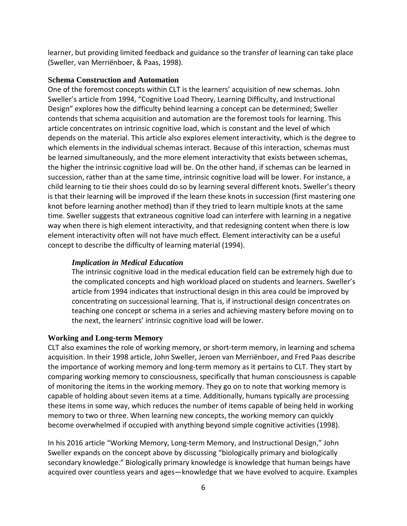learner, but providing limited feedback and guidance so the transfer of learning can take place (Sweller, van Merriënboer, & Paas, 1998).

#### <span id="page-7-0"></span>**Schema Construction and Automation**

One of the foremost concepts within CLT is the learners' acquisition of new schemas. John Sweller's article from 1994, "Cognitive Load Theory, Learning Difficulty, and Instructional Design" explores how the difficulty behind learning a concept can be determined; Sweller contends that schema acquisition and automation are the foremost tools for learning. This article concentrates on intrinsic cognitive load, which is constant and the level of which depends on the material. This article also explores element interactivity, which is the degree to which elements in the individual schemas interact. Because of this interaction, schemas must be learned simultaneously, and the more element interactivity that exists between schemas, the higher the intrinsic cognitive load will be. On the other hand, if schemas can be learned in succession, rather than at the same time, intrinsic cognitive load will be lower. For instance, a child learning to tie their shoes could do so by learning several different knots. Sweller's theory is that their learning will be improved if the learn these knots in succession (first mastering one knot before learning another method) than if they tried to learn multiple knots at the same time. Sweller suggests that extraneous cognitive load can interfere with learning in a negative way when there is high element interactivity, and that redesigning content when there is low element interactivity often will not have much effect. Element interactivity can be a useful concept to describe the difficulty of learning material (1994).

#### *Implication in Medical Education*

The intrinsic cognitive load in the medical education field can be extremely high due to the complicated concepts and high workload placed on students and learners. Sweller's article from 1994 indicates that instructional design in this area could be improved by concentrating on successional learning. That is, if instructional design concentrates on teaching one concept or schema in a series and achieving mastery before moving on to the next, the learners' intrinsic cognitive load will be lower.

#### <span id="page-7-1"></span>**Working and Long-term Memory**

CLT also examines the role of working memory, or short-term memory, in learning and schema acquisition. In their 1998 article, John Sweller, Jeroen van Merriënboer, and Fred Paas describe the importance of working memory and long-term memory as it pertains to CLT. They start by comparing working memory to consciousness, specifically that human consciousness is capable of monitoring the items in the working memory. They go on to note that working memory is capable of holding about seven items at a time. Additionally, humans typically are processing these items in some way, which reduces the number of items capable of being held in working memory to two or three. When learning new concepts, the working memory can quickly become overwhelmed if occupied with anything beyond simple cognitive activities (1998).

In his 2016 article "Working Memory, Long-term Memory, and Instructional Design," John Sweller expands on the concept above by discussing "biologically primary and biologically secondary knowledge." Biologically primary knowledge is knowledge that human beings have acquired over countless years and ages—knowledge that we have evolved to acquire. Examples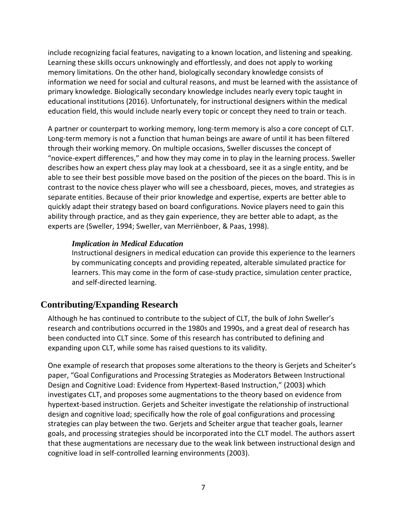include recognizing facial features, navigating to a known location, and listening and speaking. Learning these skills occurs unknowingly and effortlessly, and does not apply to working memory limitations. On the other hand, biologically secondary knowledge consists of information we need for social and cultural reasons, and must be learned with the assistance of primary knowledge. Biologically secondary knowledge includes nearly every topic taught in educational institutions (2016). Unfortunately, for instructional designers within the medical education field, this would include nearly every topic or concept they need to train or teach.

A partner or counterpart to working memory, long-term memory is also a core concept of CLT. Long-term memory is not a function that human beings are aware of until it has been filtered through their working memory. On multiple occasions, Sweller discusses the concept of "novice-expert differences," and how they may come in to play in the learning process. Sweller describes how an expert chess play may look at a chessboard, see it as a single entity, and be able to see their best possible move based on the position of the pieces on the board. This is in contrast to the novice chess player who will see a chessboard, pieces, moves, and strategies as separate entities. Because of their prior knowledge and expertise, experts are better able to quickly adapt their strategy based on board configurations. Novice players need to gain this ability through practice, and as they gain experience, they are better able to adapt, as the experts are (Sweller, 1994; Sweller, van Merriënboer, & Paas, 1998).

#### *Implication in Medical Education*

Instructional designers in medical education can provide this experience to the learners by communicating concepts and providing repeated, alterable simulated practice for learners. This may come in the form of case-study practice, simulation center practice, and self-directed learning.

### <span id="page-8-0"></span>**Contributing/Expanding Research**

Although he has continued to contribute to the subject of CLT, the bulk of John Sweller's research and contributions occurred in the 1980s and 1990s, and a great deal of research has been conducted into CLT since. Some of this research has contributed to defining and expanding upon CLT, while some has raised questions to its validity.

One example of research that proposes some alterations to the theory is Gerjets and Scheiter's paper, "Goal Configurations and Processing Strategies as Moderators Between Instructional Design and Cognitive Load: Evidence from Hypertext-Based Instruction," (2003) which investigates CLT, and proposes some augmentations to the theory based on evidence from hypertext-based instruction. Gerjets and Scheiter investigate the relationship of instructional design and cognitive load; specifically how the role of goal configurations and processing strategies can play between the two. Gerjets and Scheiter argue that teacher goals, learner goals, and processing strategies should be incorporated into the CLT model. The authors assert that these augmentations are necessary due to the weak link between instructional design and cognitive load in self-controlled learning environments (2003).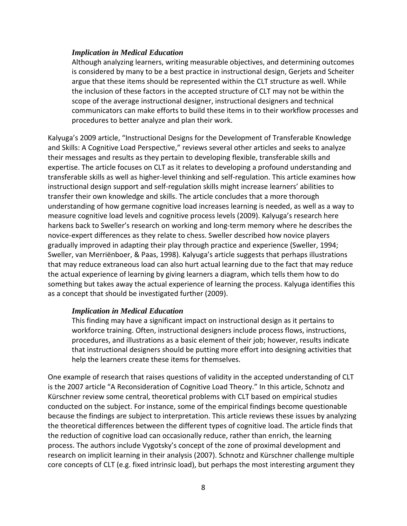Although analyzing learners, writing measurable objectives, and determining outcomes is considered by many to be a best practice in instructional design, Gerjets and Scheiter argue that these items should be represented within the CLT structure as well. While the inclusion of these factors in the accepted structure of CLT may not be within the scope of the average instructional designer, instructional designers and technical communicators can make efforts to build these items in to their workflow processes and procedures to better analyze and plan their work.

Kalyuga's 2009 article, "Instructional Designs for the Development of Transferable Knowledge and Skills: A Cognitive Load Perspective," reviews several other articles and seeks to analyze their messages and results as they pertain to developing flexible, transferable skills and expertise. The article focuses on CLT as it relates to developing a profound understanding and transferable skills as well as higher-level thinking and self-regulation. This article examines how instructional design support and self-regulation skills might increase learners' abilities to transfer their own knowledge and skills. The article concludes that a more thorough understanding of how germane cognitive load increases learning is needed, as well as a way to measure cognitive load levels and cognitive process levels (2009). Kalyuga's research here harkens back to Sweller's research on working and long-term memory where he describes the novice-expert differences as they relate to chess. Sweller described how novice players gradually improved in adapting their play through practice and experience (Sweller, 1994; Sweller, van Merriënboer, & Paas, 1998). Kalyuga's article suggests that perhaps illustrations that may reduce extraneous load can also hurt actual learning due to the fact that may reduce the actual experience of learning by giving learners a diagram, which tells them how to do something but takes away the actual experience of learning the process. Kalyuga identifies this as a concept that should be investigated further (2009).

#### *Implication in Medical Education*

This finding may have a significant impact on instructional design as it pertains to workforce training. Often, instructional designers include process flows, instructions, procedures, and illustrations as a basic element of their job; however, results indicate that instructional designers should be putting more effort into designing activities that help the learners create these items for themselves.

One example of research that raises questions of validity in the accepted understanding of CLT is the 2007 article "A Reconsideration of Cognitive Load Theory." In this article, Schnotz and Kürschner review some central, theoretical problems with CLT based on empirical studies conducted on the subject. For instance, some of the empirical findings become questionable because the findings are subject to interpretation. This article reviews these issues by analyzing the theoretical differences between the different types of cognitive load. The article finds that the reduction of cognitive load can occasionally reduce, rather than enrich, the learning process. The authors include Vygotsky's concept of the zone of proximal development and research on implicit learning in their analysis (2007). Schnotz and Kürschner challenge multiple core concepts of CLT (e.g. fixed intrinsic load), but perhaps the most interesting argument they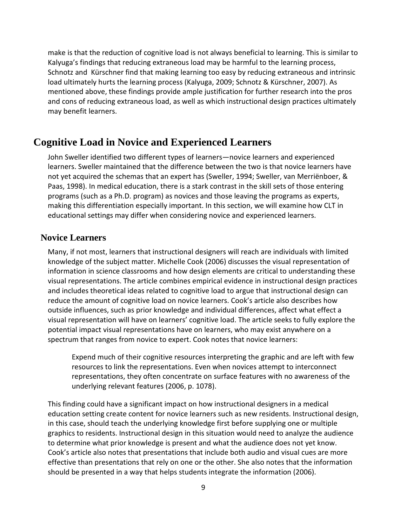make is that the reduction of cognitive load is not always beneficial to learning. This is similar to Kalyuga's findings that reducing extraneous load may be harmful to the learning process, Schnotz and Kürschner find that making learning too easy by reducing extraneous and intrinsic load ultimately hurts the learning process (Kalyuga, 2009; Schnotz & Kürschner, 2007). As mentioned above, these findings provide ample justification for further research into the pros and cons of reducing extraneous load, as well as which instructional design practices ultimately may benefit learners.

# <span id="page-10-0"></span>**Cognitive Load in Novice and Experienced Learners**

John Sweller identified two different types of learners—novice learners and experienced learners. Sweller maintained that the difference between the two is that novice learners have not yet acquired the schemas that an expert has (Sweller, 1994; Sweller, van Merriënboer, & Paas, 1998). In medical education, there is a stark contrast in the skill sets of those entering programs (such as a Ph.D. program) as novices and those leaving the programs as experts, making this differentiation especially important. In this section, we will examine how CLT in educational settings may differ when considering novice and experienced learners.

#### <span id="page-10-1"></span>**Novice Learners**

Many, if not most, learners that instructional designers will reach are individuals with limited knowledge of the subject matter. Michelle Cook (2006) discusses the visual representation of information in science classrooms and how design elements are critical to understanding these visual representations. The article combines empirical evidence in instructional design practices and includes theoretical ideas related to cognitive load to argue that instructional design can reduce the amount of cognitive load on novice learners. Cook's article also describes how outside influences, such as prior knowledge and individual differences, affect what effect a visual representation will have on learners' cognitive load. The article seeks to fully explore the potential impact visual representations have on learners, who may exist anywhere on a spectrum that ranges from novice to expert. Cook notes that novice learners:

Expend much of their cognitive resources interpreting the graphic and are left with few resources to link the representations. Even when novices attempt to interconnect representations, they often concentrate on surface features with no awareness of the underlying relevant features (2006, p. 1078).

This finding could have a significant impact on how instructional designers in a medical education setting create content for novice learners such as new residents. Instructional design, in this case, should teach the underlying knowledge first before supplying one or multiple graphics to residents. Instructional design in this situation would need to analyze the audience to determine what prior knowledge is present and what the audience does not yet know. Cook's article also notes that presentations that include both audio and visual cues are more effective than presentations that rely on one or the other. She also notes that the information should be presented in a way that helps students integrate the information (2006).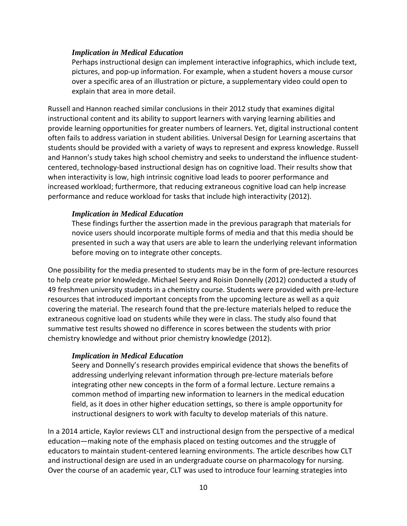Perhaps instructional design can implement interactive infographics, which include text, pictures, and pop-up information. For example, when a student hovers a mouse cursor over a specific area of an illustration or picture, a supplementary video could open to explain that area in more detail.

Russell and Hannon reached similar conclusions in their 2012 study that examines digital instructional content and its ability to support learners with varying learning abilities and provide learning opportunities for greater numbers of learners. Yet, digital instructional content often fails to address variation in student abilities. Universal Design for Learning ascertains that students should be provided with a variety of ways to represent and express knowledge. Russell and Hannon's study takes high school chemistry and seeks to understand the influence studentcentered, technology-based instructional design has on cognitive load. Their results show that when interactivity is low, high intrinsic cognitive load leads to poorer performance and increased workload; furthermore, that reducing extraneous cognitive load can help increase performance and reduce workload for tasks that include high interactivity (2012).

#### *Implication in Medical Education*

These findings further the assertion made in the previous paragraph that materials for novice users should incorporate multiple forms of media and that this media should be presented in such a way that users are able to learn the underlying relevant information before moving on to integrate other concepts.

One possibility for the media presented to students may be in the form of pre-lecture resources to help create prior knowledge. Michael Seery and Roisin Donnelly (2012) conducted a study of 49 freshmen university students in a chemistry course. Students were provided with pre-lecture resources that introduced important concepts from the upcoming lecture as well as a quiz covering the material. The research found that the pre-lecture materials helped to reduce the extraneous cognitive load on students while they were in class. The study also found that summative test results showed no difference in scores between the students with prior chemistry knowledge and without prior chemistry knowledge (2012).

#### *Implication in Medical Education*

Seery and Donnelly's research provides empirical evidence that shows the benefits of addressing underlying relevant information through pre-lecture materials before integrating other new concepts in the form of a formal lecture. Lecture remains a common method of imparting new information to learners in the medical education field, as it does in other higher education settings, so there is ample opportunity for instructional designers to work with faculty to develop materials of this nature.

In a 2014 article, Kaylor reviews CLT and instructional design from the perspective of a medical education—making note of the emphasis placed on testing outcomes and the struggle of educators to maintain student-centered learning environments. The article describes how CLT and instructional design are used in an undergraduate course on pharmacology for nursing. Over the course of an academic year, CLT was used to introduce four learning strategies into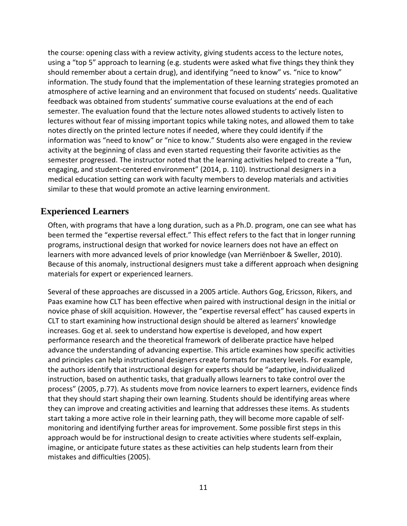the course: opening class with a review activity, giving students access to the lecture notes, using a "top 5" approach to learning (e.g. students were asked what five things they think they should remember about a certain drug), and identifying "need to know" vs. "nice to know" information. The study found that the implementation of these learning strategies promoted an atmosphere of active learning and an environment that focused on students' needs. Qualitative feedback was obtained from students' summative course evaluations at the end of each semester. The evaluation found that the lecture notes allowed students to actively listen to lectures without fear of missing important topics while taking notes, and allowed them to take notes directly on the printed lecture notes if needed, where they could identify if the information was "need to know" or "nice to know." Students also were engaged in the review activity at the beginning of class and even started requesting their favorite activities as the semester progressed. The instructor noted that the learning activities helped to create a "fun, engaging, and student-centered environment" (2014, p. 110). Instructional designers in a medical education setting can work with faculty members to develop materials and activities similar to these that would promote an active learning environment.

#### <span id="page-12-0"></span>**Experienced Learners**

Often, with programs that have a long duration, such as a Ph.D. program, one can see what has been termed the "expertise reversal effect." This effect refers to the fact that in longer running programs, instructional design that worked for novice learners does not have an effect on learners with more advanced levels of prior knowledge (van Merriënboer & Sweller, 2010). Because of this anomaly, instructional designers must take a different approach when designing materials for expert or experienced learners.

Several of these approaches are discussed in a 2005 article. Authors Gog, Ericsson, Rikers, and Paas examine how CLT has been effective when paired with instructional design in the initial or novice phase of skill acquisition. However, the "expertise reversal effect" has caused experts in CLT to start examining how instructional design should be altered as learners' knowledge increases. Gog et al. seek to understand how expertise is developed, and how expert performance research and the theoretical framework of deliberate practice have helped advance the understanding of advancing expertise. This article examines how specific activities and principles can help instructional designers create formats for mastery levels. For example, the authors identify that instructional design for experts should be "adaptive, individualized instruction, based on authentic tasks, that gradually allows learners to take control over the process" (2005, p.77). As students move from novice learners to expert learners, evidence finds that they should start shaping their own learning. Students should be identifying areas where they can improve and creating activities and learning that addresses these items. As students start taking a more active role in their learning path, they will become more capable of selfmonitoring and identifying further areas for improvement. Some possible first steps in this approach would be for instructional design to create activities where students self-explain, imagine, or anticipate future states as these activities can help students learn from their mistakes and difficulties (2005).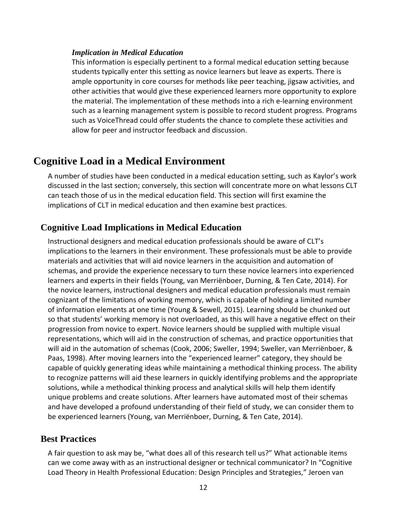This information is especially pertinent to a formal medical education setting because students typically enter this setting as novice learners but leave as experts. There is ample opportunity in core courses for methods like peer teaching, jigsaw activities, and other activities that would give these experienced learners more opportunity to explore the material. The implementation of these methods into a rich e-learning environment such as a learning management system is possible to record student progress. Programs such as VoiceThread could offer students the chance to complete these activities and allow for peer and instructor feedback and discussion.

# <span id="page-13-0"></span>**Cognitive Load in a Medical Environment**

A number of studies have been conducted in a medical education setting, such as Kaylor's work discussed in the last section; conversely, this section will concentrate more on what lessons CLT can teach those of us in the medical education field. This section will first examine the implications of CLT in medical education and then examine best practices.

### <span id="page-13-1"></span>**Cognitive Load Implications in Medical Education**

Instructional designers and medical education professionals should be aware of CLT's implications to the learners in their environment. These professionals must be able to provide materials and activities that will aid novice learners in the acquisition and automation of schemas, and provide the experience necessary to turn these novice learners into experienced learners and experts in their fields (Young, van Merriënboer, Durning, & Ten Cate, 2014). For the novice learners, instructional designers and medical education professionals must remain cognizant of the limitations of working memory, which is capable of holding a limited number of information elements at one time (Young & Sewell, 2015). Learning should be chunked out so that students' working memory is not overloaded, as this will have a negative effect on their progression from novice to expert. Novice learners should be supplied with multiple visual representations, which will aid in the construction of schemas, and practice opportunities that will aid in the automation of schemas (Cook, 2006; Sweller, 1994; Sweller, van Merriënboer, & Paas, 1998). After moving learners into the "experienced learner" category, they should be capable of quickly generating ideas while maintaining a methodical thinking process. The ability to recognize patterns will aid these learners in quickly identifying problems and the appropriate solutions, while a methodical thinking process and analytical skills will help them identify unique problems and create solutions. After learners have automated most of their schemas and have developed a profound understanding of their field of study, we can consider them to be experienced learners (Young, van Merriënboer, Durning, & Ten Cate, 2014).

#### <span id="page-13-2"></span>**Best Practices**

A fair question to ask may be, "what does all of this research tell us?" What actionable items can we come away with as an instructional designer or technical communicator? In "Cognitive Load Theory in Health Professional Education: Design Principles and Strategies," Jeroen van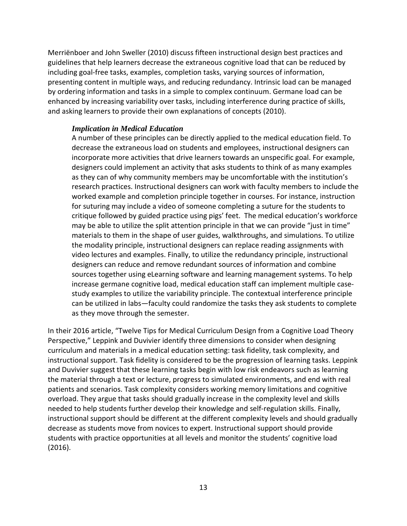Merriënboer and John Sweller (2010) discuss fifteen instructional design best practices and guidelines that help learners decrease the extraneous cognitive load that can be reduced by including goal-free tasks, examples, completion tasks, varying sources of information, presenting content in multiple ways, and reducing redundancy. Intrinsic load can be managed by ordering information and tasks in a simple to complex continuum. Germane load can be enhanced by increasing variability over tasks, including interference during practice of skills, and asking learners to provide their own explanations of concepts (2010).

#### *Implication in Medical Education*

A number of these principles can be directly applied to the medical education field. To decrease the extraneous load on students and employees, instructional designers can incorporate more activities that drive learners towards an unspecific goal. For example, designers could implement an activity that asks students to think of as many examples as they can of why community members may be uncomfortable with the institution's research practices. Instructional designers can work with faculty members to include the worked example and completion principle together in courses. For instance, instruction for suturing may include a video of someone completing a suture for the students to critique followed by guided practice using pigs' feet. The medical education's workforce may be able to utilize the split attention principle in that we can provide "just in time" materials to them in the shape of user guides, walkthroughs, and simulations. To utilize the modality principle, instructional designers can replace reading assignments with video lectures and examples. Finally, to utilize the redundancy principle, instructional designers can reduce and remove redundant sources of information and combine sources together using eLearning software and learning management systems. To help increase germane cognitive load, medical education staff can implement multiple casestudy examples to utilize the variability principle. The contextual interference principle can be utilized in labs—faculty could randomize the tasks they ask students to complete as they move through the semester.

In their 2016 article, "Twelve Tips for Medical Curriculum Design from a Cognitive Load Theory Perspective," Leppink and Duvivier identify three dimensions to consider when designing curriculum and materials in a medical education setting: task fidelity, task complexity, and instructional support. Task fidelity is considered to be the progression of learning tasks. Leppink and Duvivier suggest that these learning tasks begin with low risk endeavors such as learning the material through a text or lecture, progress to simulated environments, and end with real patients and scenarios. Task complexity considers working memory limitations and cognitive overload. They argue that tasks should gradually increase in the complexity level and skills needed to help students further develop their knowledge and self-regulation skills. Finally, instructional support should be different at the different complexity levels and should gradually decrease as students move from novices to expert. Instructional support should provide students with practice opportunities at all levels and monitor the students' cognitive load (2016).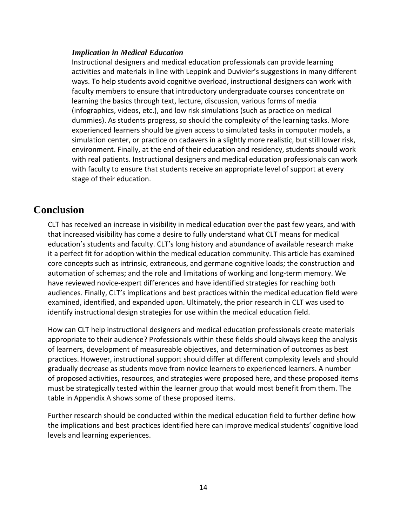Instructional designers and medical education professionals can provide learning activities and materials in line with Leppink and Duvivier's suggestions in many different ways. To help students avoid cognitive overload, instructional designers can work with faculty members to ensure that introductory undergraduate courses concentrate on learning the basics through text, lecture, discussion, various forms of media (infographics, videos, etc.), and low risk simulations (such as practice on medical dummies). As students progress, so should the complexity of the learning tasks. More experienced learners should be given access to simulated tasks in computer models, a simulation center, or practice on cadavers in a slightly more realistic, but still lower risk, environment. Finally, at the end of their education and residency, students should work with real patients. Instructional designers and medical education professionals can work with faculty to ensure that students receive an appropriate level of support at every stage of their education.

# <span id="page-15-0"></span>**Conclusion**

CLT has received an increase in visibility in medical education over the past few years, and with that increased visibility has come a desire to fully understand what CLT means for medical education's students and faculty. CLT's long history and abundance of available research make it a perfect fit for adoption within the medical education community. This article has examined core concepts such as intrinsic, extraneous, and germane cognitive loads; the construction and automation of schemas; and the role and limitations of working and long-term memory. We have reviewed novice-expert differences and have identified strategies for reaching both audiences. Finally, CLT's implications and best practices within the medical education field were examined, identified, and expanded upon. Ultimately, the prior research in CLT was used to identify instructional design strategies for use within the medical education field.

How can CLT help instructional designers and medical education professionals create materials appropriate to their audience? Professionals within these fields should always keep the analysis of learners, development of measureable objectives, and determination of outcomes as best practices. However, instructional support should differ at different complexity levels and should gradually decrease as students move from novice learners to experienced learners. A number of proposed activities, resources, and strategies were proposed here, and these proposed items must be strategically tested within the learner group that would most benefit from them. The table in Appendix A shows some of these proposed items.

Further research should be conducted within the medical education field to further define how the implications and best practices identified here can improve medical students' cognitive load levels and learning experiences.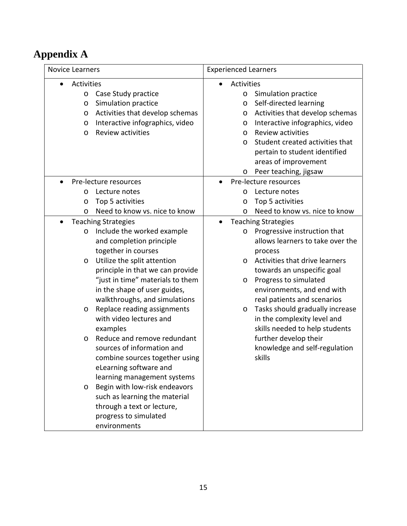# <span id="page-16-0"></span>**Appendix A**

| <b>Novice Learners</b>                     | <b>Experienced Learners</b>                |
|--------------------------------------------|--------------------------------------------|
| Activities                                 | Activities                                 |
| Case Study practice<br>$\circ$             | Simulation practice<br>$\circ$             |
| Simulation practice<br>$\circ$             | Self-directed learning<br>O                |
| Activities that develop schemas<br>$\circ$ | Activities that develop schemas<br>O       |
| Interactive infographics, video<br>$\circ$ | Interactive infographics, video<br>O       |
| <b>Review activities</b><br>$\circ$        | <b>Review activities</b><br>$\circ$        |
|                                            | Student created activities that<br>$\circ$ |
|                                            | pertain to student identified              |
|                                            | areas of improvement                       |
|                                            | Peer teaching, jigsaw<br>O                 |
| Pre-lecture resources                      | Pre-lecture resources                      |
| Lecture notes<br>O                         | Lecture notes<br>O                         |
| Top 5 activities<br>O                      | Top 5 activities<br>O                      |
| Need to know vs. nice to know<br>$\circ$   | Need to know vs. nice to know<br>O         |
| <b>Teaching Strategies</b>                 | <b>Teaching Strategies</b><br>$\bullet$    |
| Include the worked example<br>$\circ$      | Progressive instruction that<br>$\circ$    |
| and completion principle                   | allows learners to take over the           |
| together in courses                        | process                                    |
| Utilize the split attention<br>$\circ$     | Activities that drive learners<br>$\Omega$ |
| principle in that we can provide           | towards an unspecific goal                 |
| "just in time" materials to them           | Progress to simulated<br>O                 |
| in the shape of user guides,               | environments, and end with                 |
| walkthroughs, and simulations              | real patients and scenarios                |
| Replace reading assignments<br>$\circ$     | Tasks should gradually increase<br>$\circ$ |
| with video lectures and                    | in the complexity level and                |
| examples                                   | skills needed to help students             |
| Reduce and remove redundant<br>$\circ$     | further develop their                      |
| sources of information and                 | knowledge and self-regulation              |
| combine sources together using             | skills                                     |
| eLearning software and                     |                                            |
| learning management systems                |                                            |
| Begin with low-risk endeavors<br>$\circ$   |                                            |
| such as learning the material              |                                            |
| through a text or lecture,                 |                                            |
| progress to simulated                      |                                            |
| environments                               |                                            |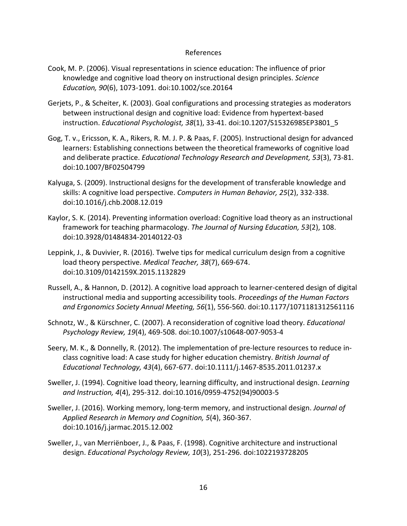#### References

- Cook, M. P. (2006). Visual representations in science education: The influence of prior knowledge and cognitive load theory on instructional design principles. *Science Education, 90*(6), 1073-1091. doi:10.1002/sce.20164
- Gerjets, P., & Scheiter, K. (2003). Goal configurations and processing strategies as moderators between instructional design and cognitive load: Evidence from hypertext-based instruction. *Educational Psychologist, 38*(1), 33-41. doi:10.1207/S15326985EP3801\_5
- Gog, T. v., Ericsson, K. A., Rikers, R. M. J. P. & Paas, F. (2005). Instructional design for advanced learners: Establishing connections between the theoretical frameworks of cognitive load and deliberate practice. *Educational Technology Research and Development, 53*(3), 73-81. doi:10.1007/BF02504799
- Kalyuga, S. (2009). Instructional designs for the development of transferable knowledge and skills: A cognitive load perspective. *Computers in Human Behavior, 25*(2), 332-338. doi:10.1016/j.chb.2008.12.019
- Kaylor, S. K. (2014). Preventing information overload: Cognitive load theory as an instructional framework for teaching pharmacology. *The Journal of Nursing Education, 53*(2), 108. doi:10.3928/01484834-20140122-03
- Leppink, J., & Duvivier, R. (2016). Twelve tips for medical curriculum design from a cognitive load theory perspective. *Medical Teacher, 38*(7), 669-674. doi:10.3109/0142159X.2015.1132829
- Russell, A., & Hannon, D. (2012). A cognitive load approach to learner-centered design of digital instructional media and supporting accessibility tools. *Proceedings of the Human Factors and Ergonomics Society Annual Meeting, 56*(1), 556-560. doi:10.1177/1071181312561116
- Schnotz, W., & Kürschner, C. (2007). A reconsideration of cognitive load theory. *Educational Psychology Review, 19*(4), 469-508. doi:10.1007/s10648-007-9053-4
- Seery, M. K., & Donnelly, R. (2012). The implementation of pre-lecture resources to reduce inclass cognitive load: A case study for higher education chemistry. *British Journal of Educational Technology, 43*(4), 667-677. doi:10.1111/j.1467-8535.2011.01237.x
- Sweller, J. (1994). Cognitive load theory, learning difficulty, and instructional design. *Learning and Instruction, 4*(4), 295-312. doi:10.1016/0959-4752(94)90003-5
- Sweller, J. (2016). Working memory, long-term memory, and instructional design. *Journal of Applied Research in Memory and Cognition, 5*(4), 360-367. doi:10.1016/j.jarmac.2015.12.002
- Sweller, J., van Merriënboer, J., & Paas, F. (1998). Cognitive architecture and instructional design. *Educational Psychology Review, 10*(3), 251-296. doi:1022193728205